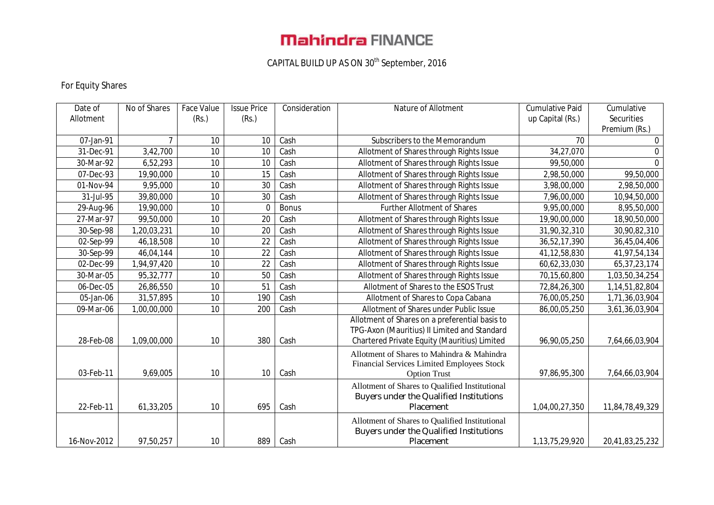# **Mahindra FINANCE**

## CAPITAL BUILD UP AS ON 30th September, 2016

### For Equity Shares

| Date of     | No of Shares | <b>Face Value</b> | <b>Issue Price</b> | Consideration | Nature of Allotment                            | <b>Cumulative Paid</b> | Cumulative         |
|-------------|--------------|-------------------|--------------------|---------------|------------------------------------------------|------------------------|--------------------|
| Allotment   |              | (Rs.)             | (Rs.)              |               |                                                | up Capital (Rs.)       | Securities         |
|             |              |                   |                    |               |                                                |                        | Premium (Rs.)      |
| 07-Jan-91   | 7            | 10                | 10                 | Cash          | Subscribers to the Memorandum                  | 70                     | 0                  |
| 31-Dec-91   | 3,42,700     | 10                | 10                 | Cash          | Allotment of Shares through Rights Issue       | 34,27,070              | $\Omega$           |
| 30-Mar-92   | 6,52,293     | 10                | 10                 | Cash          | Allotment of Shares through Rights Issue       | 99,50,000              | $\Omega$           |
| 07-Dec-93   | 19,90,000    | 10                | 15                 | Cash          | Allotment of Shares through Rights Issue       | 2,98,50,000            | 99,50,000          |
| 01-Nov-94   | 9,95,000     | 10                | 30                 | Cash          | Allotment of Shares through Rights Issue       | 3,98,00,000            | 2,98,50,000        |
| 31-Jul-95   | 39,80,000    | 10                | 30                 | Cash          | Allotment of Shares through Rights Issue       | 7,96,00,000            | 10,94,50,000       |
| 29-Aug-96   | 19,90,000    | 10                | $\Omega$           | <b>Bonus</b>  | <b>Further Allotment of Shares</b>             | 9,95,00,000            | 8,95,50,000        |
| 27-Mar-97   | 99,50,000    | 10                | 20                 | Cash          | Allotment of Shares through Rights Issue       | 19,90,00,000           | 18,90,50,000       |
| 30-Sep-98   | 1,20,03,231  | 10                | 20                 | Cash          | Allotment of Shares through Rights Issue       | 31,90,32,310           | 30,90,82,310       |
| 02-Sep-99   | 46,18,508    | 10                | 22                 | Cash          | Allotment of Shares through Rights Issue       | 36,52,17,390           | 36,45,04,406       |
| 30-Sep-99   | 46,04,144    | 10                | 22                 | Cash          | Allotment of Shares through Rights Issue       | 41, 12, 58, 830        | 41,97,54,134       |
| 02-Dec-99   | 1,94,97,420  | 10                | 22                 | Cash          | Allotment of Shares through Rights Issue       | 60,62,33,030           | 65, 37, 23, 174    |
| 30-Mar-05   | 95,32,777    | 10                | 50                 | Cash          | Allotment of Shares through Rights Issue       | 70,15,60,800           | 1,03,50,34,254     |
| 06-Dec-05   | 26,86,550    | 10                | 51                 | Cash          | Allotment of Shares to the ESOS Trust          | 72,84,26,300           | 1, 14, 51, 82, 804 |
| 05-Jan-06   | 31,57,895    | 10                | 190                | Cash          | Allotment of Shares to Copa Cabana             | 76,00,05,250           | 1,71,36,03,904     |
| 09-Mar-06   | 1,00,00,000  | 10                | 200                | Cash          | Allotment of Shares under Public Issue         | 86,00,05,250           | 3,61,36,03,904     |
|             |              |                   |                    |               | Allotment of Shares on a preferential basis to |                        |                    |
|             |              |                   |                    |               | TPG-Axon (Mauritius) II Limited and Standard   |                        |                    |
| 28-Feb-08   | 1,09,00,000  | 10                | 380                | Cash          | Chartered Private Equity (Mauritius) Limited   | 96,90,05,250           | 7,64,66,03,904     |
|             |              |                   |                    |               | Allotment of Shares to Mahindra & Mahindra     |                        |                    |
|             |              |                   |                    |               | Financial Services Limited Employees Stock     |                        |                    |
| 03-Feb-11   | 9,69,005     | 10                | 10                 | Cash          | <b>Option Trust</b>                            | 97,86,95,300           | 7,64,66,03,904     |
|             |              |                   |                    |               | Allotment of Shares to Qualified Institutional |                        |                    |
|             |              |                   |                    |               | Buyers under the Qualified Institutions        |                        |                    |
| 22-Feb-11   | 61,33,205    | 10                | 695                | Cash          | Placement                                      | 1,04,00,27,350         | 11,84,78,49,329    |
|             |              |                   |                    |               | Allotment of Shares to Qualified Institutional |                        |                    |
|             |              |                   |                    |               | Buyers under the Qualified Institutions        |                        |                    |
| 16-Nov-2012 | 97,50,257    | 10                | 889                | Cash          | Placement                                      | 1,13,75,29,920         | 20,41,83,25,232    |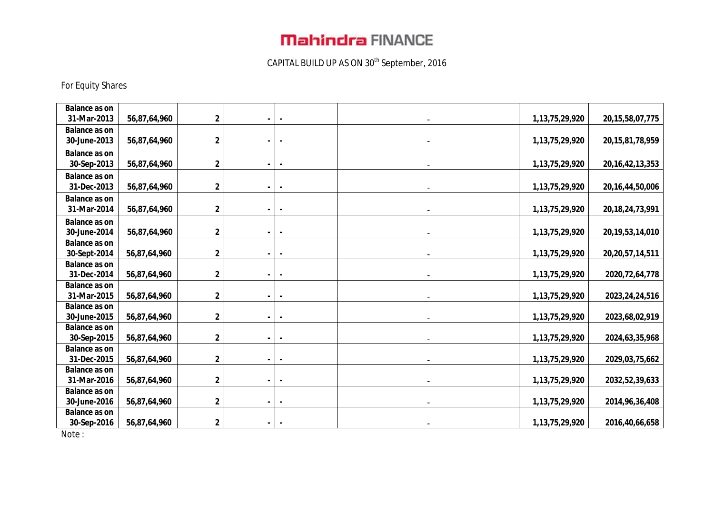# **Mahindra FINANCE**

## CAPITAL BUILD UP AS ON 30th September, 2016

### For Equity Shares

| <b>Balance as on</b>                |              |             |                |  |                    |                     |
|-------------------------------------|--------------|-------------|----------------|--|--------------------|---------------------|
| 31-Mar-2013                         | 56,87,64,960 | $\mathbf 2$ |                |  | 1, 13, 75, 29, 920 | 20, 15, 58, 07, 775 |
| <b>Balance as on</b>                |              |             |                |  |                    |                     |
| 30-June-2013                        | 56,87,64,960 | $\mathbf 2$ |                |  | 1, 13, 75, 29, 920 | 20, 15, 81, 78, 959 |
| <b>Balance as on</b>                |              |             |                |  |                    |                     |
| 30-Sep-2013                         | 56,87,64,960 | $\mathbf 2$ |                |  | 1, 13, 75, 29, 920 | 20, 16, 42, 13, 353 |
| <b>Balance as on</b>                |              |             |                |  |                    |                     |
| 31-Dec-2013                         | 56,87,64,960 | $\mathbf 2$ |                |  | 1, 13, 75, 29, 920 | 20, 16, 44, 50, 006 |
| <b>Balance as on</b>                |              |             |                |  |                    |                     |
| 31-Mar-2014                         | 56,87,64,960 | $\mathbf 2$ |                |  | 1, 13, 75, 29, 920 | 20, 18, 24, 73, 991 |
| <b>Balance as on</b>                |              |             |                |  |                    |                     |
| 30-June-2014                        | 56,87,64,960 | 2           |                |  | 1, 13, 75, 29, 920 | 20, 19, 53, 14, 010 |
| <b>Balance as on</b>                |              |             |                |  |                    |                     |
| 30-Sept-2014                        | 56,87,64,960 | $\mathbf 2$ |                |  | 1, 13, 75, 29, 920 | 20, 20, 57, 14, 511 |
| <b>Balance as on</b>                |              |             |                |  |                    |                     |
| 31-Dec-2014                         | 56,87,64,960 | $\mathbf 2$ |                |  | 1, 13, 75, 29, 920 | 2020, 72, 64, 778   |
| <b>Balance as on</b>                |              |             |                |  |                    |                     |
| 31-Mar-2015                         | 56,87,64,960 | $\mathbf 2$ | ۰.             |  | 1, 13, 75, 29, 920 | 2023, 24, 24, 516   |
| <b>Balance as on</b>                |              |             |                |  |                    |                     |
| 30-June-2015                        | 56,87,64,960 | $\mathbf 2$ | $\blacksquare$ |  | 1, 13, 75, 29, 920 | 2023,68,02,919      |
| <b>Balance as on</b>                |              |             |                |  |                    |                     |
| 30-Sep-2015                         | 56,87,64,960 | $\mathbf 2$ |                |  | 1, 13, 75, 29, 920 | 2024, 63, 35, 968   |
| <b>Balance as on</b><br>31-Dec-2015 | 56,87,64,960 | $\mathbf 2$ |                |  | 1, 13, 75, 29, 920 | 2029, 03, 75, 662   |
| <b>Balance as on</b>                |              |             |                |  |                    |                     |
| 31-Mar-2016                         | 56,87,64,960 | $\mathbf 2$ |                |  | 1, 13, 75, 29, 920 | 2032, 52, 39, 633   |
| <b>Balance as on</b>                |              |             |                |  |                    |                     |
| 30-June-2016                        | 56,87,64,960 | $\mathbf 2$ |                |  | 1, 13, 75, 29, 920 | 2014, 96, 36, 408   |
| <b>Balance as on</b>                |              |             |                |  |                    |                     |
| 30-Sep-2016                         | 56,87,64,960 | $\mathbf 2$ |                |  | 1, 13, 75, 29, 920 | 2016,40,66,658      |
|                                     |              |             |                |  |                    |                     |

Note :